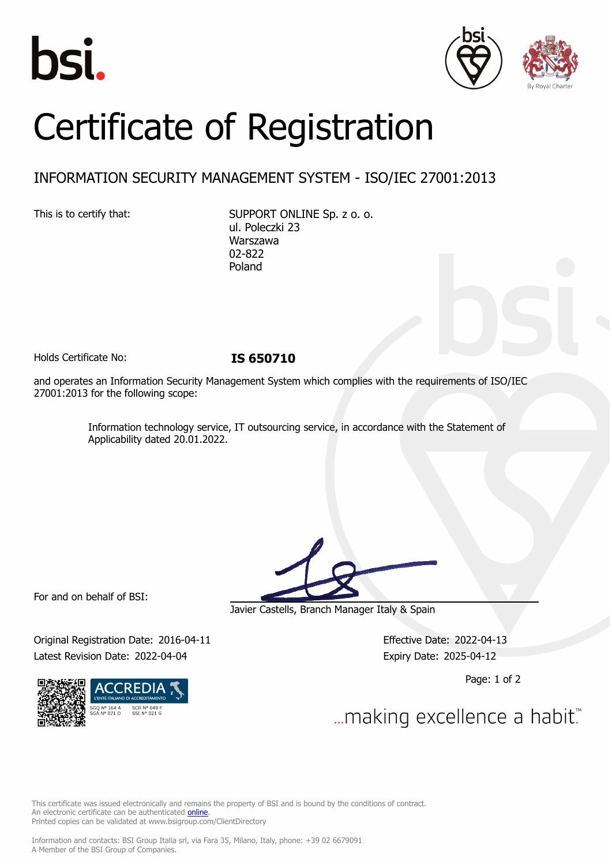





## Certificate of Registration

## INFORMATION SECURITY MANAGEMENT SYSTEM - ISO/IEC 27001:2013

This is to certify that: SUPPORT ONLINE Sp. z o. o. ul. Poleczki 23 Warszawa 02-822 Poland

Holds Certificate No: **IS 650710**

and operates an Information Security Management System which complies with the requirements of ISO/IEC 27001:2013 for the following scope:

> Information technology service, IT outsourcing service, in accordance with the Statement of Applicability dated 20.01.2022.

For and on behalf of BSI:

Original Registration Date: 2016-04-11 Effective Date: 2022-04-13 Latest Revision Date: 2022-04-04 **Expiry Date: 2025-04-12** 



Javier Castells, Branch Manager Italy & Spain

Page: 1 of 2

... making excellence a habit."

This certificate was issued electronically and remains the property of BSI and is bound by the conditions of contract. An electronic certificate can be authenticated **[online](https://pgplus.bsigroup.com/CertificateValidation/CertificateValidator.aspx?CertificateNumber=IS+650710&ReIssueDate=04%2f04%2f2022&Template=cemea_en)** Printed copies can be validated at www.bsigroup.com/ClientDirectory

Information and contacts: BSI Group Italia srl, via Fara 35, Milano, Italy, phone: +39 02 6679091 A Member of the BSI Group of Companies.